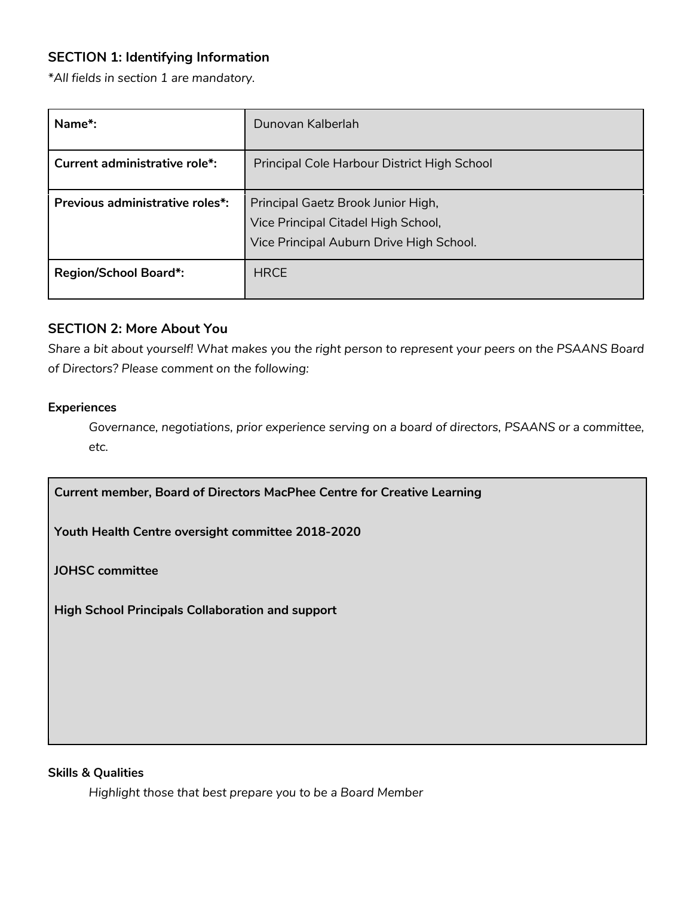# **SECTION 1: Identifying Information**

*\*All fields in section 1 are mandatory.*

| Name*:                               | Dunovan Kalberlah                                                                                                     |
|--------------------------------------|-----------------------------------------------------------------------------------------------------------------------|
| <b>Current administrative role*:</b> | Principal Cole Harbour District High School                                                                           |
| Previous administrative roles*:      | Principal Gaetz Brook Junior High,<br>Vice Principal Citadel High School,<br>Vice Principal Auburn Drive High School. |
| <b>Region/School Board*:</b>         | <b>HRCE</b>                                                                                                           |

### **SECTION 2: More About You**

*Share a bit about yourself! What makes you the right person to represent your peers on the PSAANS Board of Directors? Please comment on the following:*

#### **Experiences**

*Governance, negotiations, prior experience serving on a board of directors, PSAANS or a committee, etc.*

**Current member, Board of Directors MacPhee Centre for Creative Learning**

**Youth Health Centre oversight committee 2018-2020**

**JOHSC committee**

**High School Principals Collaboration and support**

### **Skills & Qualities**

*Highlight those that best prepare you to be a Board Member*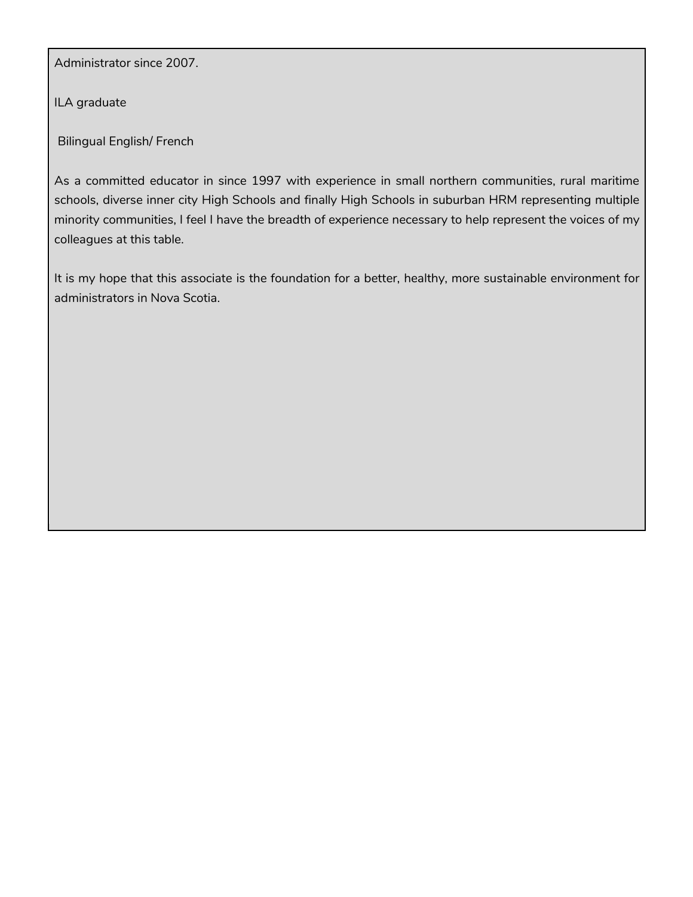Administrator since 2007.

ILA graduate

Bilingual English/ French

As a committed educator in since 1997 with experience in small northern communities, rural maritime schools, diverse inner city High Schools and finally High Schools in suburban HRM representing multiple minority communities, I feel I have the breadth of experience necessary to help represent the voices of my colleagues at this table.

It is my hope that this associate is the foundation for a better, healthy, more sustainable environment for administrators in Nova Scotia.